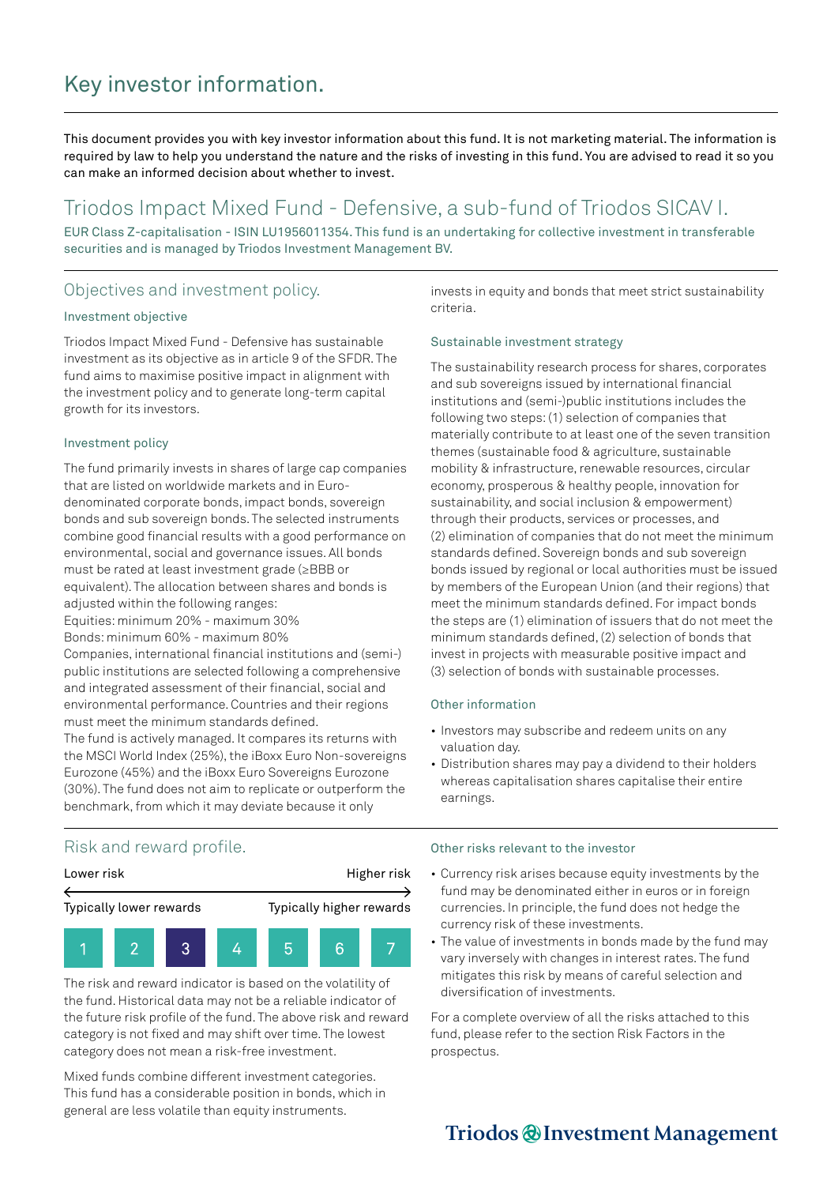# Key investor information.

This document provides you with key investor information about this fund. It is not marketing material. The information is required by law to help you understand the nature and the risks of investing in this fund. You are advised to read it so you can make an informed decision about whether to invest.

## Triodos Impact Mixed Fund - Defensive, a sub-fund of Triodos SICAV I.

EUR Class Z-capitalisation - ISIN LU1956011354. This fund is an undertaking for collective investment in transferable securities and is managed by Triodos Investment Management BV.

## Objectives and investment policy.

#### Investment objective

Triodos Impact Mixed Fund - Defensive has sustainable investment as its objective as in article 9 of the SFDR. The fund aims to maximise positive impact in alignment with the investment policy and to generate long-term capital growth for its investors.

#### Investment policy

The fund primarily invests in shares of large cap companies that are listed on worldwide markets and in Eurodenominated corporate bonds, impact bonds, sovereign bonds and sub sovereign bonds. The selected instruments combine good financial results with a good performance on environmental, social and governance issues. All bonds must be rated at least investment grade (≥BBB or equivalent). The allocation between shares and bonds is adjusted within the following ranges:

Equities: minimum 20% - maximum 30% Bonds: minimum 60% - maximum 80%

Companies, international financial institutions and (semi-) public institutions are selected following a comprehensive and integrated assessment of their financial, social and environmental performance. Countries and their regions must meet the minimum standards defined. The fund is actively managed. It compares its returns with the MSCI World Index (25%), the iBoxx Euro Non-sovereigns

Eurozone (45%) and the iBoxx Euro Sovereigns Eurozone (30%). The fund does not aim to replicate or outperform the benchmark, from which it may deviate because it only

invests in equity and bonds that meet strict sustainability criteria.

### Sustainable investment strategy

The sustainability research process for shares, corporates and sub sovereigns issued by international financial institutions and (semi-)public institutions includes the following two steps: (1) selection of companies that materially contribute to at least one of the seven transition themes (sustainable food & agriculture, sustainable mobility & infrastructure, renewable resources, circular economy, prosperous & healthy people, innovation for sustainability, and social inclusion & empowerment) through their products, services or processes, and (2) elimination of companies that do not meet the minimum standards defined. Sovereign bonds and sub sovereign bonds issued by regional or local authorities must be issued by members of the European Union (and their regions) that meet the minimum standards defined. For impact bonds the steps are (1) elimination of issuers that do not meet the minimum standards defined, (2) selection of bonds that invest in projects with measurable positive impact and (3) selection of bonds with sustainable processes.

### Other information

- Investors may subscribe and redeem units on any valuation day.
- Distribution shares may pay a dividend to their holders whereas capitalisation shares capitalise their entire earnings.

### Risk and reward profile.



The risk and reward indicator is based on the volatility of the fund. Historical data may not be a reliable indicator of the future risk profile of the fund. The above risk and reward category is not fixed and may shift over time. The lowest category does not mean a risk-free investment.

Mixed funds combine different investment categories. This fund has a considerable position in bonds, which in general are less volatile than equity instruments.

#### Other risks relevant to the investor

- Currency risk arises because equity investments by the fund may be denominated either in euros or in foreign currencies. In principle, the fund does not hedge the currency risk of these investments.
- The value of investments in bonds made by the fund may vary inversely with changes in interest rates. The fund mitigates this risk by means of careful selection and diversification of investments.

For a complete overview of all the risks attached to this fund, please refer to the section Risk Factors in the prospectus.

## Triodos @Investment Management